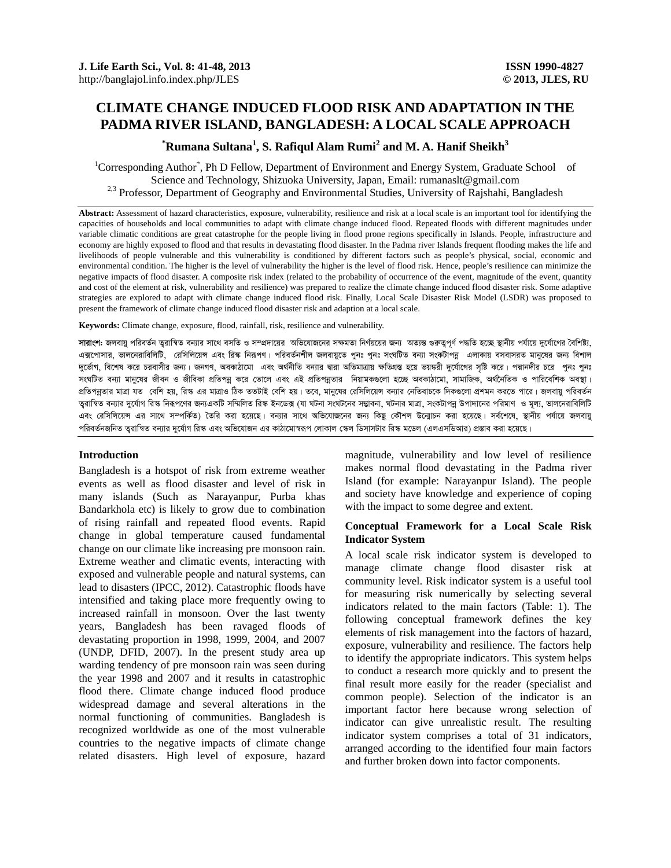# **CLIMATE CHANGE INDUCED FLOOD RISK AND ADAPTATION IN THE PADMA RIVER ISLAND, BANGLADESH: A LOCAL SCALE APPROACH**

# $^*$ Rumana Sultana<sup>1</sup>, S. Rafiqul Alam Rumi<sup>2</sup> and M. A. Hanif Sheikh<sup>3</sup>

<sup>1</sup>Corresponding Author<sup>\*</sup>, Ph D Fellow, Department of Environment and Energy System, Graduate School of Science and Technology, Shizuoka University, Japan, Email: rumanaslt@gmail.com <sup>2,3</sup> Professor, Department of Geography and Environmental Studies, University of Rajshahi, Bangladesh

**Abstract:** Assessment of hazard characteristics, exposure, vulnerability, resilience and risk at a local scale is an important tool for identifying the capacities of households and local communities to adapt with climate change induced flood. Repeated floods with different magnitudes under variable climatic conditions are great catastrophe for the people living in flood prone regions specifically in Islands. People, infrastructure and economy are highly exposed to flood and that results in devastating flood disaster. In the Padma river Islands frequent flooding makes the life and livelihoods of people vulnerable and this vulnerability is conditioned by different factors such as people's physical, social, economic and environmental condition. The higher is the level of vulnerability the higher is the level of flood risk. Hence, people's resilience can minimize the negative impacts of flood disaster. A composite risk index (related to the probability of occurrence of the event, magnitude of the event, quantity and cost of the element at risk, vulnerability and resilience) was prepared to realize the climate change induced flood disaster risk. Some adaptive strategies are explored to adapt with climate change induced flood risk. Finally, Local Scale Disaster Risk Model (LSDR) was proposed to present the framework of climate change induced flood disaster risk and adaption at a local scale.

**Keywords:** Climate change, exposure, flood, rainfall, risk, resilience and vulnerability.

**সারাংশ:** জলবায় পরিবর্তন তুরাস্থিত বন্যার সাথে বসতি ও সম্প্রদায়ের অভিযোজনের সক্ষমতা নির্ণয়য়ের জন্য অত্যন্ত গুরুত্বপূর্ণ পদ্ধতি হচ্ছে স্থানীয় পর্যায়ে দুর্যোগের বৈশিষ্ট্য, এক্সপোসার, ভালনেরাবিলিটি, রেসিলিয়েস এবং রিস্ক নিরূপণ। পরিবর্তনশীল জলবায়ুতে পুনঃ পুনঃ সংঘটিত বন্যা গংকটাপন্ন এলাকায় বসবাসরত মানুষের জন্য বিশাল দুর্ভোগ, বিশেষ করে চরবাসীর জন্য। জনগণ, অবকাঠামো এবং অর্থনীতি বন্যার দ্বারা অতিমাত্রায় ক্ষতিগ্রস্ত ভয়স্করী দুর্যোগের সৃষ্টি করে। পদ্মানদীর চরে পুনঃ পুনঃ সংঘটিত বন্যা মানুষের জীবন ও জীবিকা প্রতিপন্ন করে তোলে এবং এই প্রতিপন্নতার নিয়ামকগুলো হচ্ছে অবকাঠামো, সামাজিক, অর্থনিতিক ও পারিবেশিক অবস্থা। প্রতিপন্নতার মাত্রা যত বেশি হয়, রিস্ক এর মাত্রাও ঠিক ততটাই বেশি হয়। তবে, মানুষের রেসিলিয়েস বন্যার দেতিবাচকে দিকগুলো প্রশমন করতে পারে। জলবায়ু পরিবর্তন তুরাস্থিত বন্যার দুর্যোগ রিস্ক নিরূপণের জন্যএকটি সম্মিলিত রিস্ক ইনডেক্স (যা ঘটনা সংঘটনোর মটারাজ মারা, সংকটাপনু উপাদানের পরিমাণ ও মূল্য, ভালনেরাবিলিটি এবং রেসিলিয়েন্স এর সাথে সম্পর্কিত) তৈরি করা হয়েছে। বন্যার সাথে অভিযোজনের জন্য কিছু কৌশল উন্মোচন করা হয়েছে। সর্বশেষে, স্থানীয় পর্যায়ে জলবায়ু পরিবর্তনজনিত তুরাস্বিত বন্যার দুর্যোগ রিস্ক এবং অভিযোজন এর কাঠামোস্বরূপ লোকাল স্কেল ডিসাসটার রিস্ক মডেল (এলএসডিআর) প্রস্তাব করা হয়েছে।

## **Introduction**

Bangladesh is a hotspot of risk from extreme weather events as well as flood disaster and level of risk in many islands (Such as Narayanpur, Purba khas Bandarkhola etc) is likely to grow due to combination of rising rainfall and repeated flood events. Rapid change in global temperature caused fundamental change on our climate like increasing pre monsoon rain. Extreme weather and climatic events, interacting with exposed and vulnerable people and natural systems, can lead to disasters (IPCC, 2012). Catastrophic floods have intensified and taking place more frequently owing to increased rainfall in monsoon. Over the last twenty years, Bangladesh has been ravaged floods of devastating proportion in 1998, 1999, 2004, and 2007 (UNDP, DFID, 2007). In the present study area up warding tendency of pre monsoon rain was seen during the year 1998 and 2007 and it results in catastrophic flood there. Climate change induced flood produce widespread damage and several alterations in the normal functioning of communities. Bangladesh is recognized worldwide as one of the most vulnerable countries to the negative impacts of climate change related disasters. High level of exposure, hazard magnitude, vulnerability and low level of resilience makes normal flood devastating in the Padma river Island (for example: Narayanpur Island). The people and society have knowledge and experience of coping with the impact to some degree and extent.

### **Conceptual Framework for a Local Scale Risk Indicator System**

A local scale risk indicator system is developed to manage climate change flood disaster risk at community level. Risk indicator system is a useful tool for measuring risk numerically by selecting several indicators related to the main factors (Table: 1). The following conceptual framework defines the key elements of risk management into the factors of hazard, exposure, vulnerability and resilience. The factors help to identify the appropriate indicators. This system helps to conduct a research more quickly and to present the final result more easily for the reader (specialist and common people). Selection of the indicator is an important factor here because wrong selection of indicator can give unrealistic result. The resulting indicator system comprises a total of 31 indicators, arranged according to the identified four main factors and further broken down into factor components.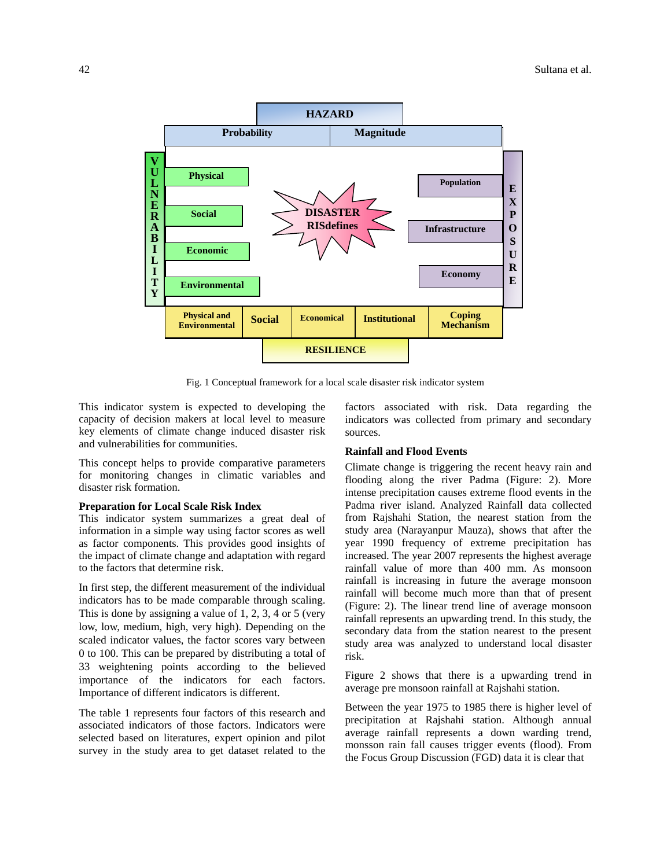

Fig. 1 Conceptual framework for a local scale disaster risk indicator system

This indicator system is expected to developing the capacity of decision makers at local level to measure key elements of climate change induced disaster risk and vulnerabilities for communities.

This concept helps to provide comparative parameters for monitoring changes in climatic variables and disaster risk formation.

## **Preparation for Local Scale Risk Index**

This indicator system summarizes a great deal of information in a simple way using factor scores as well as factor components. This provides good insights of the impact of climate change and adaptation with regard to the factors that determine risk.

In first step, the different measurement of the individual indicators has to be made comparable through scaling. This is done by assigning a value of 1, 2, 3, 4 or 5 (very low, low, medium, high, very high). Depending on the scaled indicator values, the factor scores vary between 0 to 100. This can be prepared by distributing a total of 33 weightening points according to the believed importance of the indicators for each factors. Importance of different indicators is different.

The table 1 represents four factors of this research and associated indicators of those factors. Indicators were selected based on literatures, expert opinion and pilot survey in the study area to get dataset related to the factors associated with risk. Data regarding the indicators was collected from primary and secondary sources.

## **Rainfall and Flood Events**

Climate change is triggering the recent heavy rain and flooding along the river Padma (Figure: 2). More intense precipitation causes extreme flood events in the Padma river island. Analyzed Rainfall data collected from Rajshahi Station, the nearest station from the study area (Narayanpur Mauza), shows that after the year 1990 frequency of extreme precipitation has increased. The year 2007 represents the highest average rainfall value of more than 400 mm. As monsoon rainfall is increasing in future the average monsoon rainfall will become much more than that of present (Figure: 2). The linear trend line of average monsoon rainfall represents an upwarding trend. In this study, the secondary data from the station nearest to the present study area was analyzed to understand local disaster risk.

Figure 2 shows that there is a upwarding trend in average pre monsoon rainfall at Rajshahi station.

Between the year 1975 to 1985 there is higher level of precipitation at Rajshahi station. Although annual average rainfall represents a down warding trend, monsson rain fall causes trigger events (flood). From the Focus Group Discussion (FGD) data it is clear that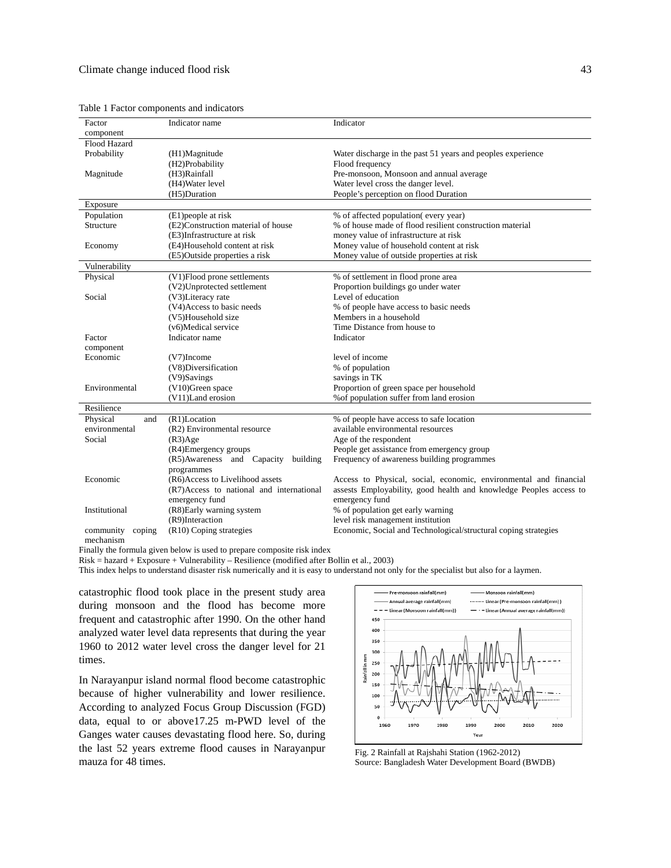Table 1 Factor components and indicators

| Factor              | Indicator name                           | Indicator                                                          |
|---------------------|------------------------------------------|--------------------------------------------------------------------|
| component           |                                          |                                                                    |
| Flood Hazard        |                                          |                                                                    |
| Probability         | (H1)Magnitude                            | Water discharge in the past 51 years and peoples experience        |
|                     | (H2)Probability                          | Flood frequency                                                    |
| Magnitude           | (H3)Rainfall                             | Pre-monsoon, Monsoon and annual average                            |
|                     | (H4) Water level                         | Water level cross the danger level.                                |
|                     | (H5)Duration                             | People's perception on flood Duration                              |
| Exposure            |                                          |                                                                    |
| Population          | (E1) people at risk                      | % of affected population(every year)                               |
| Structure           | (E2)Construction material of house       | % of house made of flood resilient construction material           |
|                     |                                          |                                                                    |
|                     | (E3)Infrastructure at risk               | money value of infrastructure at risk                              |
| Economy             | (E4)Household content at risk            | Money value of household content at risk                           |
|                     | (E5)Outside properties a risk            | Money value of outside properties at risk                          |
| Vulnerability       |                                          |                                                                    |
| Physical            | (V1)Flood prone settlements              | % of settlement in flood prone area                                |
|                     | (V2)Unprotected settlement               | Proportion buildings go under water                                |
| Social              | (V3)Literacy rate                        | Level of education                                                 |
|                     | (V4)Access to basic needs                | % of people have access to basic needs                             |
|                     | (V5)Household size                       | Members in a household                                             |
|                     | (v6)Medical service                      | Time Distance from house to                                        |
| Factor              | Indicator name                           | Indicator                                                          |
| component           |                                          |                                                                    |
| Economic            | $(V7)$ Income                            | level of income                                                    |
|                     | (V8)Diversification                      | % of population                                                    |
|                     |                                          |                                                                    |
|                     | (V9)Savings                              | savings in TK                                                      |
| Environmental       | $(V10)$ Green space                      | Proportion of green space per household                            |
|                     | (V11)Land erosion                        | % of population suffer from land erosion                           |
| Resilience          |                                          |                                                                    |
| Physical<br>and     | (R1)Location                             | % of people have access to safe location                           |
| environmental       | (R2) Environmental resource              | available environmental resources                                  |
| Social              | (R3)Age                                  | Age of the respondent                                              |
|                     | (R4)Emergency groups                     | People get assistance from emergency group                         |
|                     | (R5)Awareness and Capacity<br>building   | Frequency of awareness building programmes                         |
|                     | programmes                               |                                                                    |
| Economic            | (R6)Access to Livelihood assets          | Access to Physical, social, economic, environmental and financial  |
|                     | (R7)Access to national and international | assests Employability, good health and knowledge Peoples access to |
|                     |                                          | emergency fund                                                     |
|                     | emergency fund                           |                                                                    |
| Institutional       | (R8)Early warning system                 | % of population get early warning                                  |
|                     | (R9)Interaction                          | level risk management institution                                  |
| community<br>coping | (R10) Coping strategies                  | Economic, Social and Technological/structural coping strategies    |
| mechanism           |                                          |                                                                    |

Finally the formula given below is used to prepare composite risk index

Risk = hazard + Exposure + Vulnerability – Resilience (modified after Bollin et al., 2003)

This index helps to understand disaster risk numerically and it is easy to understand not only for the specialist but also for a laymen.

catastrophic flood took place in the present study area during monsoon and the flood has become more frequent and catastrophic after 1990. On the other hand analyzed water level data represents that during the year 1960 to 2012 water level cross the danger level for 21 times.

In Narayanpur island normal flood become catastrophic because of higher vulnerability and lower resilience. According to analyzed Focus Group Discussion (FGD) data, equal to or above17.25 m-PWD level of the Ganges water causes devastating flood here. So, during the last 52 years extreme flood causes in Narayanpur mauza for 48 times.



Fig. 2 Rainfall at Rajshahi Station (1962-2012) Source: Bangladesh Water Development Board (BWDB)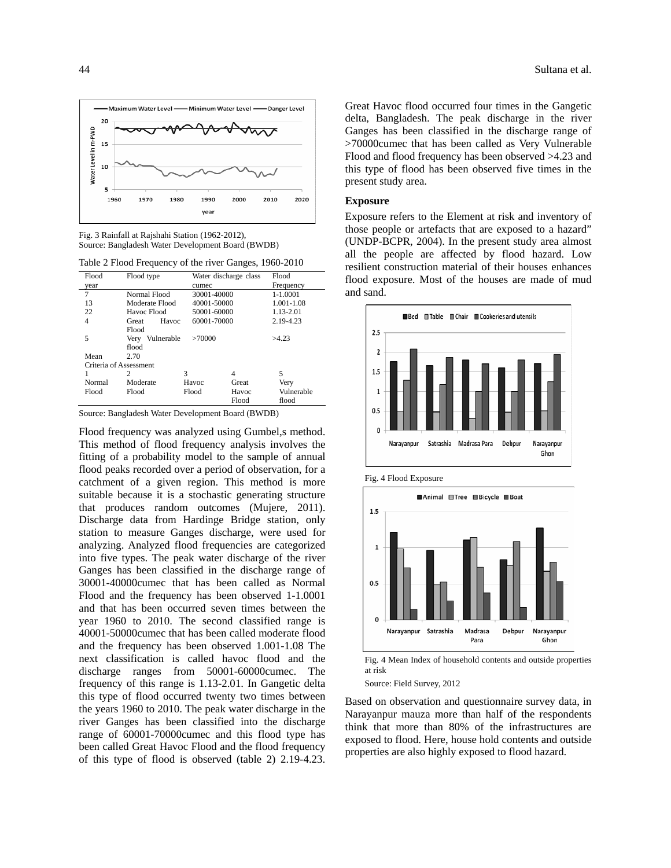

Fig. 3 Rainfall at Rajshahi Station (1962-2012), Source: Bangladesh Water Development Board (BWDB)

|  | Table 2 Flood Frequency of the river Ganges, 1960-2010 |  |  |  |
|--|--------------------------------------------------------|--|--|--|
|--|--------------------------------------------------------|--|--|--|

| Flood                  | Flood type      |             | Water discharge class | Flood        |  |  |
|------------------------|-----------------|-------------|-----------------------|--------------|--|--|
| year                   |                 | cumec       |                       | Frequency    |  |  |
| 7                      | Normal Flood    | 30001-40000 |                       | $1 - 1.0001$ |  |  |
| 13                     | Moderate Flood  | 40001-50000 |                       | 1.001-1.08   |  |  |
| 22                     | Havoc Flood     | 50001-60000 |                       | 1.13-2.01    |  |  |
| 4                      | Havoc<br>Great  | 60001-70000 |                       | 2.19-4.23    |  |  |
|                        | Flood           |             |                       |              |  |  |
| 5                      | Very Vulnerable | >70000      |                       | >4.23        |  |  |
|                        | flood           |             |                       |              |  |  |
| Mean                   | 2.70            |             |                       |              |  |  |
| Criteria of Assessment |                 |             |                       |              |  |  |
| 1                      | 2               | 3           | 4                     | 5            |  |  |
| Normal                 | Moderate        | Havoc       | Great                 | Very         |  |  |
| Flood                  | Flood           | Flood       | Havoc                 | Vulnerable   |  |  |
|                        |                 |             | Flood                 | flood        |  |  |

Source: Bangladesh Water Development Board (BWDB)

Flood frequency was analyzed using Gumbel,s method. This method of flood frequency analysis involves the fitting of a probability model to the sample of annual flood peaks recorded over a period of observation, for a catchment of a given region. This method is more suitable because it is a stochastic generating structure that produces random outcomes (Mujere, 2011). Discharge data from Hardinge Bridge station, only station to measure Ganges discharge, were used for analyzing. Analyzed flood frequencies are categorized into five types. The peak water discharge of the river Ganges has been classified in the discharge range of 30001-40000cumec that has been called as Normal Flood and the frequency has been observed 1-1.0001 and that has been occurred seven times between the year 1960 to 2010. The second classified range is 40001-50000cumec that has been called moderate flood and the frequency has been observed 1.001-1.08 The next classification is called havoc flood and the discharge ranges from 50001-60000cumec. The frequency of this range is 1.13-2.01. In Gangetic delta this type of flood occurred twenty two times between the years 1960 to 2010. The peak water discharge in the river Ganges has been classified into the discharge range of 60001-70000cumec and this flood type has been called Great Havoc Flood and the flood frequency of this type of flood is observed (table 2) 2.19-4.23.

Great Havoc flood occurred four times in the Gangetic delta, Bangladesh. The peak discharge in the river Ganges has been classified in the discharge range of >70000cumec that has been called as Very Vulnerable Flood and flood frequency has been observed >4.23 and this type of flood has been observed five times in the present study area.

## **Exposure**

Exposure refers to the Element at risk and inventory of those people or artefacts that are exposed to a hazard" (UNDP-BCPR, 2004). In the present study area almost all the people are affected by flood hazard. Low resilient construction material of their houses enhances flood exposure. Most of the houses are made of mud and sand.







Fig. 4 Mean Index of household contents and outside properties at risk

Source: Field Survey, 2012

Based on observation and questionnaire survey data, in Narayanpur mauza more than half of the respondents think that more than 80% of the infrastructures are exposed to flood. Here, house hold contents and outside properties are also highly exposed to flood hazard.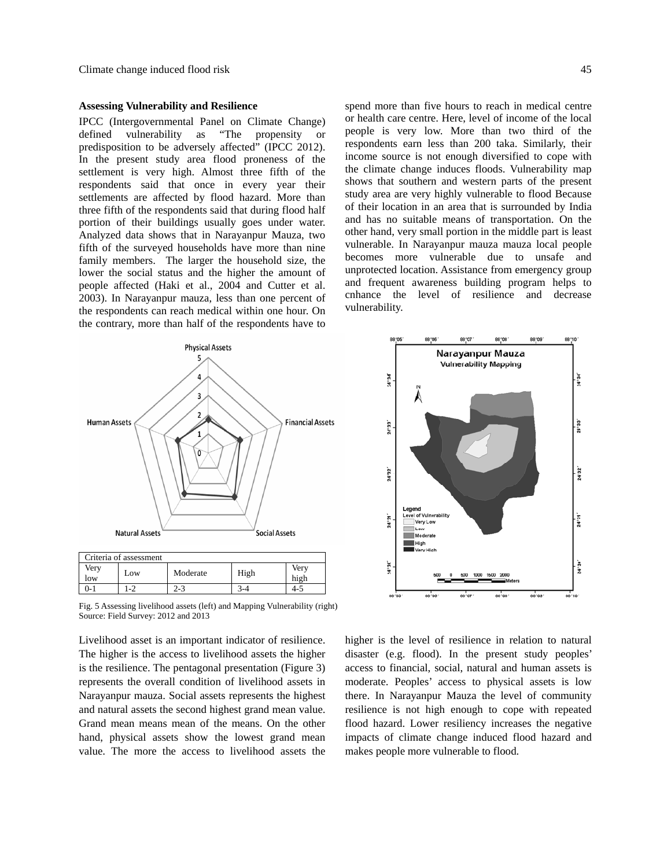#### **Assessing Vulnerability and Resilience**

IPCC (Intergovernmental Panel on Climate Change) defined vulnerability as "The propensity or predisposition to be adversely affected" (IPCC 2012). In the present study area flood proneness of the settlement is very high. Almost three fifth of the respondents said that once in every year their settlements are affected by flood hazard. More than three fifth of the respondents said that during flood half portion of their buildings usually goes under water. Analyzed data shows that in Narayanpur Mauza, two fifth of the surveyed households have more than nine family members. The larger the household size, the lower the social status and the higher the amount of people affected (Haki et al., 2004 and Cutter et al. 2003). In Narayanpur mauza, less than one percent of the respondents can reach medical within one hour. On the contrary, more than half of the respondents have to



spend more than five hours to reach in medical centre or health care centre. Here, level of income of the local people is very low. More than two third of the respondents earn less than 200 taka. Similarly, their income source is not enough diversified to cope with the climate change induces floods. Vulnerability map shows that southern and western parts of the present study area are very highly vulnerable to flood Because of their location in an area that is surrounded by India and has no suitable means of transportation. On the other hand, very small portion in the middle part is least vulnerable. In Narayanpur mauza mauza local people becomes more vulnerable due to unsafe and unprotected location. Assistance from emergency group and frequent awareness building program helps to cnhance the level of resilience and decrease vulnerability.



Fig. 5 Assessing livelihood assets (left) and Mapping Vulnerability (right) Source: Field Survey: 2012 and 2013

0-1 | 1-2 | 2-3 | 3-4 | 4-5

Livelihood asset is an important indicator of resilience. The higher is the access to livelihood assets the higher is the resilience. The pentagonal presentation (Figure 3) represents the overall condition of livelihood assets in Narayanpur mauza. Social assets represents the highest and natural assets the second highest grand mean value. Grand mean means mean of the means. On the other hand, physical assets show the lowest grand mean value. The more the access to livelihood assets the

higher is the level of resilience in relation to natural disaster (e.g. flood). In the present study peoples' access to financial, social, natural and human assets is moderate. Peoples' access to physical assets is low there. In Narayanpur Mauza the level of community resilience is not high enough to cope with repeated flood hazard. Lower resiliency increases the negative impacts of climate change induced flood hazard and makes people more vulnerable to flood.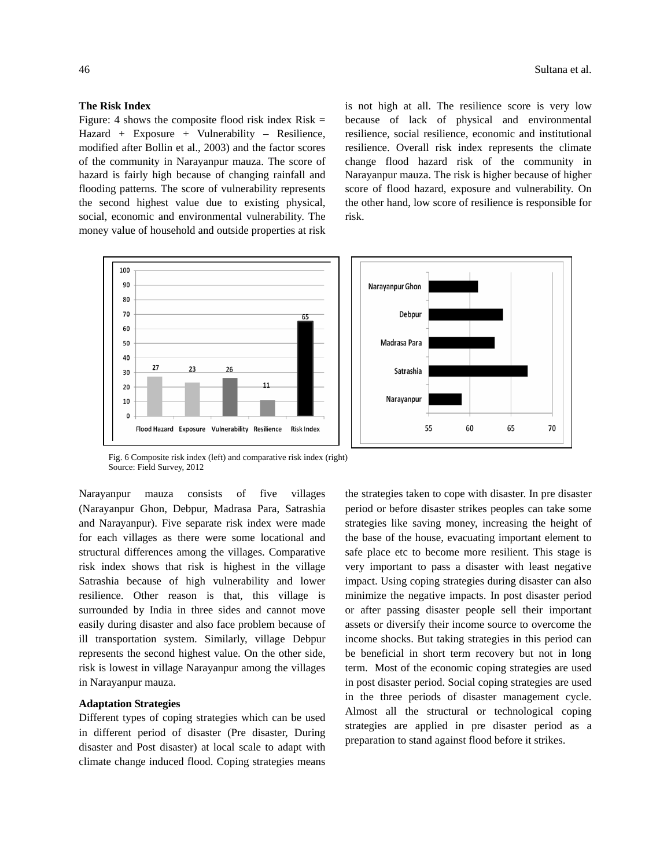## **The Risk Index**

 $100$ 90

> 80 70

> 60

50 40

 $30^{\circ}$ 20

10  $\mathbf 0$   $27$ 

Figure: 4 shows the composite flood risk index  $Risk =$ Hazard + Exposure + Vulnerability – Resilience, modified after Bollin et al., 2003) and the factor scores of the community in Narayanpur mauza. The score of hazard is fairly high because of changing rainfall and flooding patterns. The score of vulnerability represents the second highest value due to existing physical, social, economic and environmental vulnerability. The money value of household and outside properties at risk

is not high at all. The resilience score is very low because of lack of physical and environmental resilience, social resilience, economic and institutional resilience. Overall risk index represents the climate change flood hazard risk of the community in Narayanpur mauza. The risk is higher because of higher score of flood hazard, exposure and vulnerability. On the other hand, low score of resilience is responsible for risk.



Fig. 6 Composite risk index (left) and comparative risk index (right) Source: Field Survey, 2012

Narayanpur mauza consists of five villages (Narayanpur Ghon, Debpur, Madrasa Para, Satrashia and Narayanpur). Five separate risk index were made for each villages as there were some locational and structural differences among the villages. Comparative risk index shows that risk is highest in the village Satrashia because of high vulnerability and lower resilience. Other reason is that, this village is surrounded by India in three sides and cannot move easily during disaster and also face problem because of ill transportation system. Similarly, village Debpur represents the second highest value. On the other side, risk is lowest in village Narayanpur among the villages in Narayanpur mauza.

### **Adaptation Strategies**

Different types of coping strategies which can be used in different period of disaster (Pre disaster, During disaster and Post disaster) at local scale to adapt with climate change induced flood. Coping strategies means

the strategies taken to cope with disaster. In pre disaster period or before disaster strikes peoples can take some strategies like saving money, increasing the height of the base of the house, evacuating important element to safe place etc to become more resilient. This stage is very important to pass a disaster with least negative impact. Using coping strategies during disaster can also minimize the negative impacts. In post disaster period or after passing disaster people sell their important assets or diversify their income source to overcome the income shocks. But taking strategies in this period can be beneficial in short term recovery but not in long term. Most of the economic coping strategies are used in post disaster period. Social coping strategies are used in the three periods of disaster management cycle. Almost all the structural or technological coping strategies are applied in pre disaster period as a preparation to stand against flood before it strikes.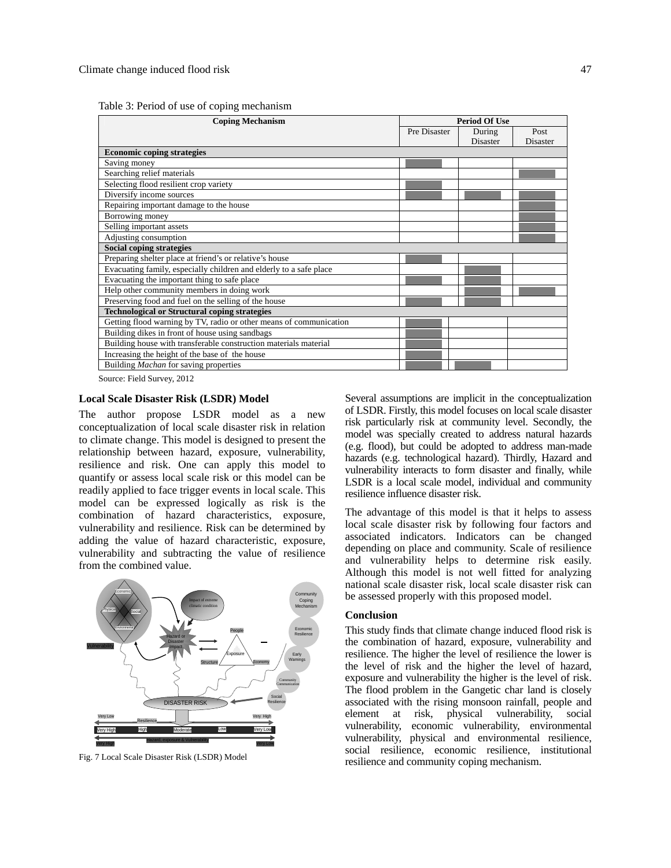| <b>Coping Mechanism</b>                                            | <b>Period Of Use</b> |          |                 |  |
|--------------------------------------------------------------------|----------------------|----------|-----------------|--|
|                                                                    | Pre Disaster         | During   | Post            |  |
|                                                                    |                      | Disaster | <b>Disaster</b> |  |
| <b>Economic coping strategies</b>                                  |                      |          |                 |  |
| Saving money                                                       |                      |          |                 |  |
| Searching relief materials                                         |                      |          |                 |  |
| Selecting flood resilient crop variety                             |                      |          |                 |  |
| Diversify income sources                                           |                      |          |                 |  |
| Repairing important damage to the house                            |                      |          |                 |  |
| Borrowing money                                                    |                      |          |                 |  |
| Selling important assets                                           |                      |          |                 |  |
| Adjusting consumption                                              |                      |          |                 |  |
| <b>Social coping strategies</b>                                    |                      |          |                 |  |
| Preparing shelter place at friend's or relative's house            |                      |          |                 |  |
| Evacuating family, especially children and elderly to a safe place |                      |          |                 |  |
| Evacuating the important thing to safe place                       |                      |          |                 |  |
| Help other community members in doing work                         |                      |          |                 |  |
| Preserving food and fuel on the selling of the house               |                      |          |                 |  |
| <b>Technological or Structural coping strategies</b>               |                      |          |                 |  |
| Getting flood warning by TV, radio or other means of communication |                      |          |                 |  |
| Building dikes in front of house using sandbags                    |                      |          |                 |  |
| Building house with transferable construction materials material   |                      |          |                 |  |
| Increasing the height of the base of the house                     |                      |          |                 |  |
| Building Machan for saving properties                              |                      |          |                 |  |

Source: Field Survey, 2012

#### **Local Scale Disaster Risk (LSDR) Model**

The author propose LSDR model as a new conceptualization of local scale disaster risk in relation to climate change. This model is designed to present the relationship between hazard, exposure, vulnerability, resilience and risk. One can apply this model to quantify or assess local scale risk or this model can be readily applied to face trigger events in local scale. This model can be expressed logically as risk is the combination of hazard characteristics, exposure, vulnerability and resilience. Risk can be determined by adding the value of hazard characteristic, exposure, vulnerability and subtracting the value of resilience from the combined value.



Fig. 7 Local Scale Disaster Risk (LSDR) Model

Several assumptions are implicit in the conceptualization of LSDR. Firstly, this model focuses on local scale disaster risk particularly risk at community level. Secondly, the model was specially created to address natural hazards (e.g. flood), but could be adopted to address man-made hazards (e.g. technological hazard). Thirdly, Hazard and vulnerability interacts to form disaster and finally, while LSDR is a local scale model, individual and community resilience influence disaster risk.

The advantage of this model is that it helps to assess local scale disaster risk by following four factors and associated indicators. Indicators can be changed depending on place and community. Scale of resilience and vulnerability helps to determine risk easily. Although this model is not well fitted for analyzing national scale disaster risk, local scale disaster risk can be assessed properly with this proposed model.

## **Conclusion**

This study finds that climate change induced flood risk is the combination of hazard, exposure, vulnerability and resilience. The higher the level of resilience the lower is the level of risk and the higher the level of hazard, exposure and vulnerability the higher is the level of risk. The flood problem in the Gangetic char land is closely associated with the rising monsoon rainfall, people and element at risk, physical vulnerability, social vulnerability, economic vulnerability, environmental vulnerability, physical and environmental resilience, social resilience, economic resilience, institutional resilience and community coping mechanism.